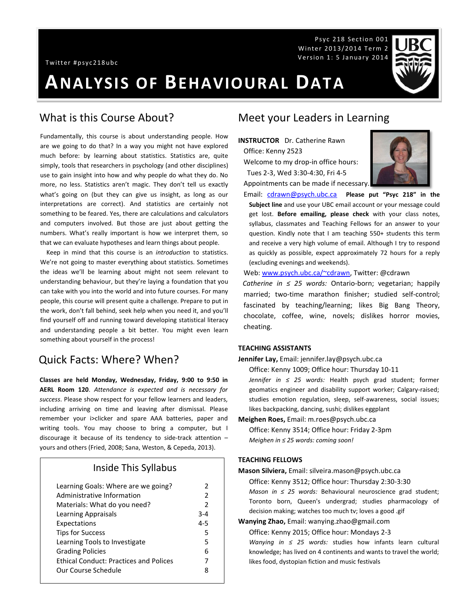Twitter #psyc218ubc

# **ANALYSIS OF BEHAVIOURAL DATA**

#### What is this Course About?

Fundamentally, this course is about understanding people. How are we going to do that? In a way you might not have explored much before: by learning about statistics. Statistics are, quite simply, tools that researchers in psychology (and other disciplines) use to gain insight into how and why people do what they do. No more, no less. Statistics aren't magic. They don't tell us exactly what's going on (but they can give us insight, as long as our interpretations are correct). And statistics are certainly not something to be feared. Yes, there are calculations and calculators and computers involved. But those are just about getting the numbers. What's really important is how we interpret them, so that we can evaluate hypotheses and learn things about people.

 Keep in mind that this course is an *introduction* to statistics. We're not going to master everything about statistics. Sometimes the ideas we'll be learning about might not seem relevant to understanding behaviour, but they're laying a foundation that you can take with you into the world and into future courses. For many people, this course will present quite a challenge. Prepare to put in the work, don't fall behind, seek help when you need it, and you'll find yourself off and running toward developing statistical literacy and understanding people a bit better. You might even learn something about yourself in the process!

### Quick Facts: Where? When?

**Classes are held Monday, Wednesday, Friday, 9:00 to 9:50 in AERL Room 120**. *Attendance is expected and is necessary for success*. Please show respect for your fellow learners and leaders, including arriving on time and leaving after dismissal. Please remember your i>clicker and spare AAA batteries, paper and writing tools. You may choose to bring a computer, but I discourage it because of its tendency to side-track attention – yours and others (Fried, 2008; Sana, Weston, & Cepeda, 2013).

#### Inside This Syllabus

| Learning Goals: Where are we going?           | 2              |
|-----------------------------------------------|----------------|
| Administrative Information                    | $\overline{2}$ |
| Materials: What do you need?                  | $\overline{2}$ |
| Learning Appraisals                           | $3 - 4$        |
| Expectations                                  | $4 - 5$        |
| <b>Tips for Success</b>                       | 5              |
| Learning Tools to Investigate                 | 5              |
| <b>Grading Policies</b>                       | 6              |
| <b>Ethical Conduct: Practices and Polices</b> | 7              |
| Our Course Schedule                           | 8              |
|                                               |                |

#### Meet your Leaders in Learning

**INSTRUCTOR** Dr. Catherine Rawn Office: Kenny 2523

Welcome to my drop-in office hours: Tues 2-3, Wed 3:30-4:30, Fri 4-5

Appointments can be made if necessary.

Email: [cdrawn@psych.ubc.ca](mailto:cdrawn@psych.ubc.ca) **Please put "Psyc 218" in the Subject line** and use your UBC email account or your message could get lost. **Before emailing, please check** with your class notes, syllabus, classmates and Teaching Fellows for an answer to your question. Kindly note that I am teaching 550+ students this term and receive a very high volume of email. Although I try to respond as quickly as possible, expect approximately 72 hours for a reply (excluding evenings and weekends).

Psyc 218 Section 001 Winter 2013/2014 Term 2 Version 1: 5 January 2014

Web: [www.psych.ubc.ca/~cdrawn,](http://www.psych.ubc.ca/~cdrawn) Twitter: @cdrawn

*Catherine in ≤ 25 words:* Ontario-born; vegetarian; happily married; two-time marathon finisher; studied self-control; fascinated by teaching/learning; likes Big Bang Theory, chocolate, coffee, wine, novels; dislikes horror movies, cheating.

#### **TEACHING ASSISTANTS**

**Jennifer Lay,** Email: jennifer.lay@psych.ubc.ca

Office: Kenny 1009; Office hour: Thursday 10-11

*Jennifer in ≤ 25 words:* Health psych grad student; former geomatics engineer and disability support worker; Calgary-raised; studies emotion regulation, sleep, self-awareness, social issues; likes backpacking, dancing, sushi; dislikes eggplant

**Meighen Roes,** Email: m.roes@psych.ubc.ca

Office: Kenny 3514; Office hour: Friday 2-3pm *Meighen in ≤ 25 words: coming soon!*

#### **TEACHING FELLOWS**

**Mason Silviera,** Email: silveira.mason@psych.ubc.ca

Office: Kenny 3512; Office hour: Thursday 2:30-3:30

*Mason in ≤ 25 words:* Behavioural neuroscience grad student; Toronto born, Queen's undergrad; studies pharmacology of decision making; watches too much tv; loves a good .gif

**Wanying Zhao,** Email: wanying.zhao@gmail.com

Office: Kenny 2015; Office hour: Mondays 2-3

*Wanying in ≤ 25 words:* studies how infants learn cultural knowledge; has lived on 4 continents and wants to travel the world; likes food, dystopian fiction and music festivals

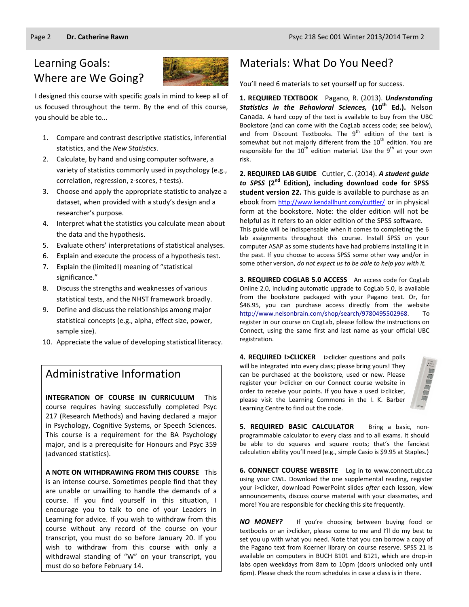# Learning Goals: Where are We Going?



I designed this course with specific goals in mind to keep all of us focused throughout the term. By the end of this course, you should be able to...

- 1. Compare and contrast descriptive statistics, inferential statistics, and the *New Statistics*.
- 2. Calculate, by hand and using computer software, a variety of statistics commonly used in psychology (e.g., correlation, regression, z-scores, *t*-tests).
- 3. Choose and apply the appropriate statistic to analyze a dataset, when provided with a study's design and a researcher's purpose.
- 4. Interpret what the statistics you calculate mean about the data and the hypothesis.
- 5. Evaluate others' interpretations of statistical analyses.
- 6. Explain and execute the process of a hypothesis test.
- 7. Explain the (limited!) meaning of "statistical significance."
- 8. Discuss the strengths and weaknesses of various statistical tests, and the NHST framework broadly.
- 9. Define and discuss the relationships among major statistical concepts (e.g., alpha, effect size, power, sample size).
- 10. Appreciate the value of developing statistical literacy.

### Administrative Information

**INTEGRATION OF COURSE IN CURRICULUM** This course requires having successfully completed Psyc 217 (Research Methods) and having declared a major in Psychology, Cognitive Systems, or Speech Sciences. This course is a requirement for the BA Psychology major, and is a prerequisite for Honours and Psyc 359 (advanced statistics).

**A NOTE ON WITHDRAWING FROM THIS COURSE** This is an intense course. Sometimes people find that they are unable or unwilling to handle the demands of a course. If you find yourself in this situation, I encourage you to talk to one of your Leaders in Learning for advice. If you wish to withdraw from this course without any record of the course on your transcript, you must do so before January 20. If you wish to withdraw from this course with only a withdrawal standing of "W" on your transcript, you must do so before February 14.

## Materials: What Do You Need?

You'll need 6 materials to set yourself up for success.

**1. REQUIRED TEXTBOOK** Pagano, R. (2013). *Understanding Statistics in the Behavioral Sciences,* **(10th Ed.).** Nelson Canada. A hard copy of the text is available to buy from the UBC Bookstore (and can come with the CogLab access code; see below), and from Discount Textbooks. The  $9<sup>th</sup>$  edition of the text is somewhat but not majorly different from the  $10^{th}$  edition. You are responsible for the  $10^{th}$  edition material. Use the  $9^{th}$  at your own risk.

**2. REQUIRED LAB GUIDE** Cuttler, C. (2014). *A student guide to SPSS* **(2nd Edition), including download code for SPSS student version 22.** This guide is available to purchase as an ebook from <http://www.kendallhunt.com/cuttler/> or in physical form at the bookstore. Note: the older edition will not be helpful as it refers to an older edition of the SPSS software. This guide will be indispensable when it comes to completing the 6 lab assignments throughout this course. Install SPSS on your computer ASAP as some students have had problems installing it in the past. If you choose to access SPSS some other way and/or in some other version, *do not expect us to be able to help you with it.*

**3. REQUIRED COGLAB 5.0 ACCESS** An access code for CogLab Online 2.0, including automatic upgrade to CogLab 5.0, is available from the bookstore packaged with your Pagano text. Or, for \$46.95, you can purchase access directly from the website [http://www.nelsonbrain.com/shop/search/9780495502968.](http://www.nelsonbrain.com/shop/search/9780495502968) To register in our course on CogLab, please follow the instructions on Connect, using the same first and last name as your official UBC registration.

**4. REQUIRED I>CLICKER** i>clicker questions and polls will be integrated into every class; please bring yours! They can be purchased at the bookstore, used or new. Please register your i>clicker on our Connect course website in order to receive your points. If you have a used i>clicker, please visit the Learning Commons in the I. K. Barber Learning Centre to find out the code.



**5. REQUIRED BASIC CALCULATOR** Bring a basic, nonprogrammable calculator to every class and to all exams. It should be able to do squares and square roots; that's the fanciest calculation ability you'll need (e.g., simple Casio is \$9.95 at Staples.)

**6. CONNECT COURSE WEBSITE** Log in to www.connect.ubc.ca using your CWL. Download the one supplemental reading, register your i>clicker, download PowerPoint slides *after* each lesson, view announcements, discuss course material with your classmates, and more! You are responsible for checking this site frequently.

*NO MONEY?* If you're choosing between buying food or textbooks or an i>clicker, please come to me and I'll do my best to set you up with what you need. Note that you can borrow a copy of the Pagano text from Koerner library on course reserve. SPSS 21 is available on computers in BUCH B101 and B121, which are drop-in labs open weekdays from 8am to 10pm (doors unlocked only until 6pm). Please check the room schedules in case a class is in there.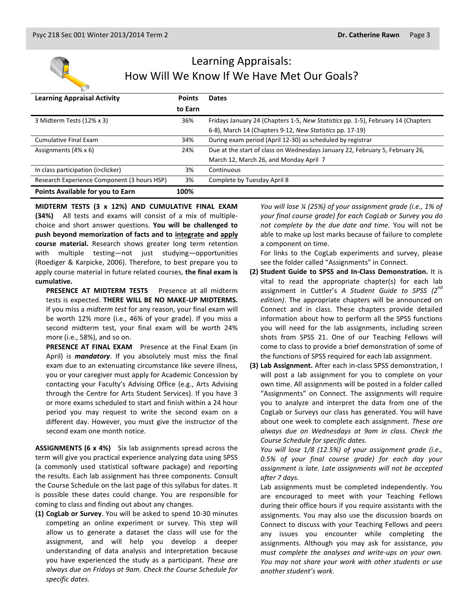

# Learning Appraisals: How Will We Know If We Have Met Our Goals?

| <b>Learning Appraisal Activity</b>          | <b>Points</b> | <b>Dates</b>                                                                     |
|---------------------------------------------|---------------|----------------------------------------------------------------------------------|
|                                             | to Earn       |                                                                                  |
| 3 Midterm Tests (12% x 3)                   | 36%           | Fridays January 24 (Chapters 1-5, New Statistics pp. 1-5), February 14 (Chapters |
|                                             |               | 6-8), March 14 (Chapters 9-12, New Statistics pp. 17-19)                         |
| Cumulative Final Exam                       | 34%           | During exam period (April 12-30) as scheduled by registrar                       |
| Assignments $(4\% \times 6)$                | 24%           | Due at the start of class on Wednesdays January 22, February 5, February 26,     |
|                                             |               | March 12, March 26, and Monday April 7                                           |
| In class participation (i>clicker)          | 3%            | Continuous                                                                       |
| Research Experience Component (3 hours HSP) | 3%            | Complete by Tuesday April 8                                                      |
| Points Available for you to Earn            | 100%          |                                                                                  |

**MIDTERM TESTS (3 x 12%) AND CUMULATIVE FINAL EXAM (34%)** All tests and exams will consist of a mix of multiplechoice and short answer questions. **You will be challenged to push beyond memorization of facts and to integrate and apply course material.** Research shows greater long term retention with multiple testing—not just studying—opportunities (Roediger & Karpicke, 2006). Therefore, to best prepare you to apply course material in future related courses, **the final exam is cumulative.**

**PRESENCE AT MIDTERM TESTS** Presence at all midterm tests is expected. **THERE WILL BE NO MAKE-UP MIDTERMS.** If you miss a *midterm test* for any reason, your final exam will be worth 12% more (i.e., 46% of your grade). If you miss a second midterm test, your final exam will be worth 24% more (i.e., 58%), and so on.

**PRESENCE AT FINAL EXAM** Presence at the Final Exam (in April) is *mandatory*. If you absolutely must miss the final exam due to an extenuating circumstance like severe illness, you or your caregiver must apply for Academic Concession by contacting your Faculty's Advising Office (e.g., Arts Advising through the Centre for Arts Student Services). If you have 3 or more exams scheduled to start and finish within a 24 hour period you may request to write the second exam on a different day. However, you must give the instructor of the second exam one month notice.

**ASSIGNMENTS (6 x 4%)** Six lab assignments spread across the term will give you practical experience analyzing data using SPSS (a commonly used statistical software package) and reporting the results. Each lab assignment has three components. Consult the Course Schedule on the last page of this syllabus for dates. It is possible these dates could change. You are responsible for coming to class and finding out about any changes.

**(1) CogLab or Survey**. You will be asked to spend 10-30 minutes competing an online experiment or survey. This step will allow us to generate a dataset the class will use for the assignment, and will help you develop a deeper understanding of data analysis and interpretation because you have experienced the study as a participant. *These are always due on Fridays at 9am. Check the Course Schedule for specific dates.*

*You will lose ¼ (25%) of your assignment grade (i.e., 1% of your final course grade) for each CogLab or Survey you do not complete by the due date and time.* You will not be able to make up lost marks because of failure to complete a component on time.

For links to the CogLab experiments and survey, please see the folder called "Assignments" in Connect.

- **(2) Student Guide to SPSS and In-Class Demonstration.** It is vital to read the appropriate chapter(s) for each lab assignment in Cuttler's *A Student Guide to SPSS (2nd edition)*. The appropriate chapters will be announced on Connect and in class. These chapters provide detailed information about how to perform all the SPSS functions you will need for the lab assignments, including screen shots from SPSS 21. One of our Teaching Fellows will come to class to provide a brief demonstration of some of the functions of SPSS required for each lab assignment.
- **(3) Lab Assignment.** After each in-class SPSS demonstration, I will post a lab assignment for you to complete on your own time. All assignments will be posted in a folder called "Assignments" on Connect. The assignments will require you to analyze and interpret the data from one of the CogLab or Surveys our class has generated. You will have about one week to complete each assignment. *These are always due on Wednesdays at 9am in class. Check the Course Schedule for specific dates.*

*You will lose 1/8 (12.5%) of your assignment grade (i.e., 0.5% of your final course grade) for each day your assignment is late. Late assignments will not be accepted after 7 days.*

Lab assignments must be completed independently. You are encouraged to meet with your Teaching Fellows during their office hours if you require assistants with the assignments. You may also use the discussion boards on Connect to discuss with your Teaching Fellows and peers any issues you encounter while completing the assignments. Although you may ask for assistance, *you must complete the analyses and write-ups on your own. You may not share your work with other students or use another student's work.*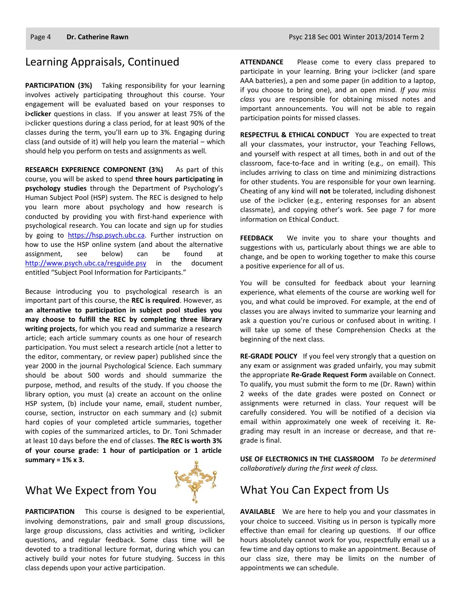#### Learning Appraisals, Continued

**PARTICIPATION (3%)** Taking responsibility for your learning involves actively participating throughout this course. Your engagement will be evaluated based on your responses to **i>clicker** questions in class. If you answer at least 75% of the i>clicker questions during a class period, for at least 90% of the classes during the term, you'll earn up to 3%. Engaging during class (and outside of it) will help you learn the material – which should help you perform on tests and assignments as well.

**RESEARCH EXPERIENCE COMPONENT (3%)** As part of this course, you will be asked to spend **three hours participating in psychology studies** through the Department of Psychology's Human Subject Pool (HSP) system. The REC is designed to help you learn more about psychology and how research is conducted by providing you with first-hand experience with psychological research. You can locate and sign up for studies by going to [https://hsp.psych.ubc.ca.](https://hsp.psych.ubc.ca/) Further instruction on how to use the HSP online system (and about the alternative assignment, see below) can be found at <http://www.psych.ubc.ca/resguide.psy> in the document entitled "Subject Pool Information for Participants."

Because introducing you to psychological research is an important part of this course, the **REC is required**. However, as **an alternative to participation in subject pool studies you may choose to fulfill the REC by completing three library writing projects**, for which you read and summarize a research article; each article summary counts as one hour of research participation. You must select a research article (not a letter to the editor, commentary, or review paper) published since the year 2000 in the journal Psychological Science. Each summary should be about 500 words and should summarize the purpose, method, and results of the study. If you choose the library option, you must (a) create an account on the online HSP system, (b) include your name, email, student number, course, section, instructor on each summary and (c) submit hard copies of your completed article summaries, together with copies of the summarized articles, to Dr. Toni Schmader at least 10 days before the end of classes. **The REC is worth 3% of your course grade: 1 hour of participation or 1 article summary = 1% x 3.**

#### What We Expect from You



**PARTICIPATION** This course is designed to be experiential, involving demonstrations, pair and small group discussions, large group discussions, class activities and writing, i>clicker questions, and regular feedback. Some class time will be devoted to a traditional lecture format, during which you can actively build your notes for future studying. Success in this class depends upon your active participation.

**ATTENDANCE** Please come to every class prepared to participate in your learning. Bring your i>clicker (and spare AAA batteries), a pen and some paper (in addition to a laptop, if you choose to bring one), and an open mind. *If you miss class* you are responsible for obtaining missed notes and important announcements. You will not be able to regain participation points for missed classes.

**RESPECTFUL & ETHICAL CONDUCT** You are expected to treat all your classmates, your instructor, your Teaching Fellows, and yourself with respect at all times, both in and out of the classroom, face-to-face and in writing (e.g., on email). This includes arriving to class on time and minimizing distractions for other students. You are responsible for your own learning. Cheating of any kind will **not** be tolerated, including dishonest use of the i>clicker (e.g., entering responses for an absent classmate), and copying other's work. See page 7 for more information on Ethical Conduct.

**FEEDBACK** We invite you to share your thoughts and suggestions with us, particularly about things we are able to change, and be open to working together to make this course a positive experience for all of us.

You will be consulted for feedback about your learning experience, what elements of the course are working well for you, and what could be improved. For example, at the end of classes you are always invited to summarize your learning and ask a question you're curious or confused about in writing. I will take up some of these Comprehension Checks at the beginning of the next class.

**RE-GRADE POLICY** If you feel very strongly that a question on any exam or assignment was graded unfairly, you may submit the appropriate **Re-Grade Request Form** available on Connect. To qualify, you must submit the form to me (Dr. Rawn) within 2 weeks of the date grades were posted on Connect or assignments were returned in class. Your request will be carefully considered. You will be notified of a decision via email within approximately one week of receiving it. Regrading may result in an increase or decrease, and that regrade is final.

**USE OF ELECTRONICS IN THE CLASSROOM** *To be determined collaboratively during the first week of class.*

#### What You Can Expect from Us

**AVAILABLE** We are here to help you and your classmates in your choice to succeed. Visiting us in person is typically more effective than email for clearing up questions. If our office hours absolutely cannot work for you, respectfully email us a few time and day options to make an appointment. Because of our class size, there may be limits on the number of appointments we can schedule.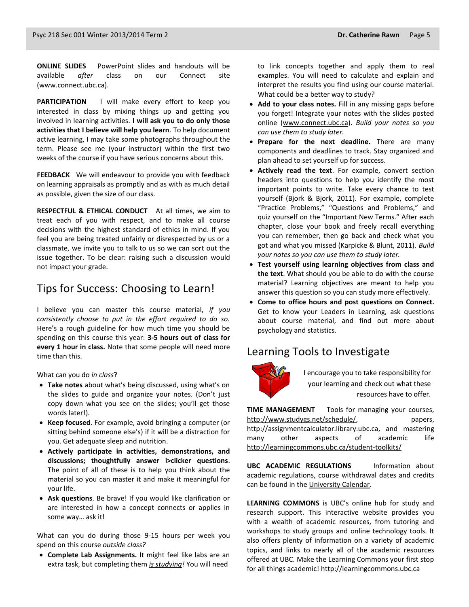**ONLINE SLIDES** PowerPoint slides and handouts will be available *after* class on our Connect site (www.connect.ubc.ca).

**PARTICIPATION** I will make every effort to keep you interested in class by mixing things up and getting you involved in learning activities. **I will ask you to do only those activities that I believe will help you learn**. To help document active learning, I may take some photographs throughout the term. Please see me (your instructor) within the first two weeks of the course if you have serious concerns about this.

**FEEDBACK** We will endeavour to provide you with feedback on learning appraisals as promptly and as with as much detail as possible, given the size of our class.

**RESPECTFUL & ETHICAL CONDUCT** At all times, we aim to treat each of you with respect, and to make all course decisions with the highest standard of ethics in mind. If you feel you are being treated unfairly or disrespected by us or a classmate, we invite you to talk to us so we can sort out the issue together. To be clear: raising such a discussion would not impact your grade.

#### Tips for Success: Choosing to Learn!

I believe you can master this course material, *if you consistently choose to put in the effort required to do so.* Here's a rough guideline for how much time you should be spending on this course this year: **3-5 hours out of class for every 1 hour in class.** Note that some people will need more time than this.

What can you do *in class*?

- **Take notes** about what's being discussed, using what's on the slides to guide and organize your notes. (Don't just copy down what you see on the slides; you'll get those words later!).
- **Keep focused**. For example, avoid bringing a computer (or sitting behind someone else's) if it will be a distraction for you. Get adequate sleep and nutrition.
- **Actively participate in activities, demonstrations, and discussions; thoughtfully answer i>clicker questions**. The point of all of these is to help you think about the material so you can master it and make it meaningful for your life.
- **Ask questions**. Be brave! If you would like clarification or are interested in how a concept connects or applies in some way… ask it!

What can you do during those 9-15 hours per week you spend on this course *outside class?*

 **Complete Lab Assignments.** It might feel like labs are an extra task, but completing them *is studying!* You will need

to link concepts together and apply them to real examples. You will need to calculate and explain and interpret the results you find using our course material. What could be a better way to study?

- **Add to your class notes.** Fill in any missing gaps before you forget! Integrate your notes with the slides posted online [\(www.connect.ubc.ca\)](http://www.connect.ubc.ca/). *Build your notes so you can use them to study later.*
- **Prepare for the next deadline.** There are many components and deadlines to track. Stay organized and plan ahead to set yourself up for success.
- **Actively read the text**. For example, convert section headers into questions to help you identify the most important points to write. Take every chance to test yourself (Bjork & Bjork, 2011). For example, complete "Practice Problems," "Questions and Problems," and quiz yourself on the "Important New Terms." After each chapter, close your book and freely recall everything you can remember, then go back and check what you got and what you missed (Karpicke & Blunt, 2011). *Build your notes so you can use them to study later.*
- **Test yourself using learning objectives from class and the text**. What should you be able to do with the course material? Learning objectives are meant to help you answer this question so you can study more effectively.
- **Come to office hours and post questions on Connect.**  Get to know your Leaders in Learning, ask questions about course material, and find out more about psychology and statistics.

#### Learning Tools to Investigate



I encourage you to take responsibility for your learning and check out what these resources have to offer.

**TIME MANAGEMENT** Tools for managing your courses, [http://www.studygs.net/schedule/,](http://www.studygs.net/schedule/) papers, [http://assignmentcalculator.library.ubc.ca,](http://assignmentcalculator.library.ubc.ca/) and mastering many other aspects of academic life <http://learningcommons.ubc.ca/student-toolkits/>

**UBC ACADEMIC REGULATIONS** Information about academic regulations, course withdrawal dates and credits can be found in th[e University Calendar.](http://students.ubc.ca/calendar/academicyear.cfm)

**LEARNING COMMONS** is UBC's online hub for study and research support. This interactive website provides you with a wealth of academic resources, from tutoring and workshops to study groups and online technology tools. It also offers plenty of information on a variety of academic topics, and links to nearly all of the academic resources offered at UBC. Make the Learning Commons your first stop for all things academic! [http://learningcommons.ubc.ca](http://learningcommons.ubc.ca/)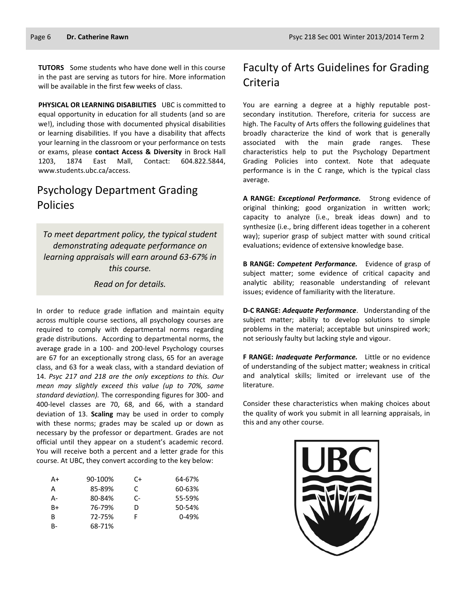**TUTORS** Some students who have done well in this course in the past are serving as tutors for hire. More information will be available in the first few weeks of class.

**PHYSICAL OR LEARNING DISABILITIES** UBC is committed to equal opportunity in education for all students (and so are we!), including those with documented physical disabilities or learning disabilities. If you have a disability that affects your learning in the classroom or your performance on tests or exams, please **contact Access & Diversity** in Brock Hall 1203, 1874 East Mall, Contact: 604.822.5844, [www.students.ubc.ca/access.](http://www.students.ubc.ca/access)

#### Psychology Department Grading Policies

*To meet department policy, the typical student demonstrating adequate performance on learning appraisals will earn around 63-67% in this course.* 

*Read on for details.*

In order to reduce grade inflation and maintain equity across multiple course sections, all psychology courses are required to comply with departmental norms regarding grade distributions. According to departmental norms, the average grade in a 100- and 200-level Psychology courses are 67 for an exceptionally strong class, 65 for an average class, and 63 for a weak class, with a standard deviation of 14. *Psyc 217 and 218 are the only exceptions to this. Our mean may slightly exceed this value (up to 70%, same standard deviation).* The corresponding figures for 300- and 400-level classes are 70, 68, and 66, with a standard deviation of 13. **Scaling** may be used in order to comply with these norms; grades may be scaled up or down as necessary by the professor or department. Grades are not official until they appear on a student's academic record. You will receive both a percent and a letter grade for this course. At UBC, they convert according to the key below:

| A+ | 90-100% | C+   | 64-67%    |
|----|---------|------|-----------|
| А  | 85-89%  | C    | 60-63%    |
| А- | 80-84%  | $C-$ | 55-59%    |
| B+ | 76-79%  | D    | 50-54%    |
| в  | 72-75%  | F    | $0 - 49%$ |
| B- | 68-71%  |      |           |

### Faculty of Arts Guidelines for Grading Criteria

You are earning a degree at a highly reputable postsecondary institution. Therefore, criteria for success are high. The Faculty of Arts offers the following guidelines that broadly characterize the kind of work that is generally associated with the main grade ranges. These characteristics help to put the Psychology Department Grading Policies into context. Note that adequate performance is in the C range, which is the typical class average.

**A RANGE:** *Exceptional Performance.* Strong evidence of original thinking; good organization in written work; capacity to analyze (i.e., break ideas down) and to synthesize (i.e., bring different ideas together in a coherent way); superior grasp of subject matter with sound critical evaluations; evidence of extensive knowledge base.

**B RANGE:** *Competent Performance.* Evidence of grasp of subject matter; some evidence of critical capacity and analytic ability; reasonable understanding of relevant issues; evidence of familiarity with the literature.

**D-C RANGE:** *Adequate Performance*. Understanding of the subject matter; ability to develop solutions to simple problems in the material; acceptable but uninspired work; not seriously faulty but lacking style and vigour.

**F RANGE:** *Inadequate Performance.* Little or no evidence of understanding of the subject matter; weakness in critical and analytical skills; limited or irrelevant use of the literature.

Consider these characteristics when making choices about the quality of work you submit in all learning appraisals, in this and any other course.

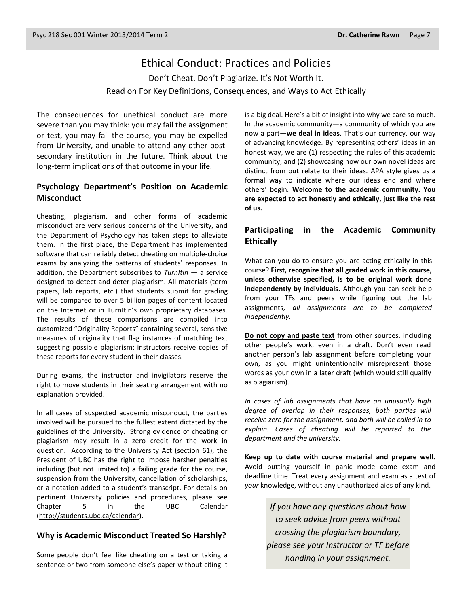#### Ethical Conduct: Practices and Policies

Don't Cheat. Don't Plagiarize. It's Not Worth It. Read on For Key Definitions, Consequences, and Ways to Act Ethically

The consequences for unethical conduct are more severe than you may think: you may fail the assignment or test, you may fail the course, you may be expelled from University, and unable to attend any other postsecondary institution in the future. Think about the long-term implications of that outcome in your life.

#### **Psychology Department's Position on Academic Misconduct**

Cheating, plagiarism, and other forms of academic misconduct are very serious concerns of the University, and the Department of Psychology has taken steps to alleviate them. In the first place, the Department has implemented software that can reliably detect cheating on multiple-choice exams by analyzing the patterns of students' responses. In addition, the Department subscribes to *TurnItIn* — a service designed to detect and deter plagiarism. All materials (term papers, lab reports, etc.) that students submit for grading will be compared to over 5 billion pages of content located on the Internet or in TurnItIn's own proprietary databases. The results of these comparisons are compiled into customized "Originality Reports" containing several, sensitive measures of originality that flag instances of matching text suggesting possible plagiarism; instructors receive copies of these reports for every student in their classes.

During exams, the instructor and invigilators reserve the right to move students in their seating arrangement with no explanation provided.

In all cases of suspected academic misconduct, the parties involved will be pursued to the fullest extent dictated by the guidelines of the University. Strong evidence of cheating or plagiarism may result in a zero credit for the work in question. According to the University Act (section 61), the President of UBC has the right to impose harsher penalties including (but not limited to) a failing grade for the course, suspension from the University, cancellation of scholarships, or a notation added to a student's transcript. For details on pertinent University policies and procedures, please see Chapter 5 in the UBC Calendar [\(http://students.ubc.ca/calendar\)](http://students.ubc.ca/calendar).

#### **Why is Academic Misconduct Treated So Harshly?**

Some people don't feel like cheating on a test or taking a sentence or two from someone else's paper without citing it is a big deal. Here's a bit of insight into why we care so much. In the academic community—a community of which you are now a part—**we deal in ideas**. That's our currency, our way of advancing knowledge. By representing others' ideas in an honest way, we are (1) respecting the rules of this academic community, and (2) showcasing how our own novel ideas are distinct from but relate to their ideas. APA style gives us a formal way to indicate where our ideas end and where others' begin. **Welcome to the academic community. You are expected to act honestly and ethically, just like the rest of us.**

#### **Participating in the Academic Community Ethically**

What can you do to ensure you are acting ethically in this course? **First, recognize that all graded work in this course, unless otherwise specified, is to be original work done independently by individuals.** Although you can seek help from your TFs and peers while figuring out the lab assignments, *all assignments are to be completed independently.*

**Do not copy and paste text** from other sources, including other people's work, even in a draft. Don't even read another person's lab assignment before completing your own, as you might unintentionally misrepresent those words as your own in a later draft (which would still qualify as plagiarism).

*In cases of lab assignments that have an unusually high degree of overlap in their responses, both parties will receive zero for the assignment, and both will be called in to explain. Cases of cheating will be reported to the department and the university.*

**Keep up to date with course material and prepare well.** Avoid putting yourself in panic mode come exam and deadline time. Treat every assignment and exam as a test of *your* knowledge, without any unauthorized aids of any kind.

> *If you have any questions about how to seek advice from peers without crossing the plagiarism boundary, please see your Instructor or TF before handing in your assignment.*